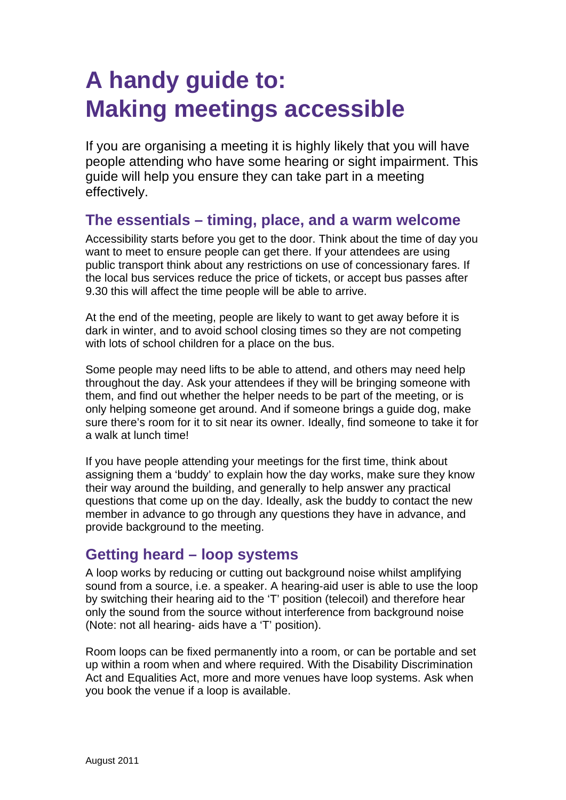# **A handy guide to: Making meetings accessible**

If you are organising a meeting it is highly likely that you will have people attending who have some hearing or sight impairment. This guide will help you ensure they can take part in a meeting effectively.

## **The essentials – timing, place, and a warm welcome**

Accessibility starts before you get to the door. Think about the time of day you want to meet to ensure people can get there. If your attendees are using public transport think about any restrictions on use of concessionary fares. If the local bus services reduce the price of tickets, or accept bus passes after 9.30 this will affect the time people will be able to arrive.

At the end of the meeting, people are likely to want to get away before it is dark in winter, and to avoid school closing times so they are not competing with lots of school children for a place on the bus.

Some people may need lifts to be able to attend, and others may need help throughout the day. Ask your attendees if they will be bringing someone with them, and find out whether the helper needs to be part of the meeting, or is only helping someone get around. And if someone brings a guide dog, make sure there's room for it to sit near its owner. Ideally, find someone to take it for a walk at lunch time!

If you have people attending your meetings for the first time, think about assigning them a 'buddy' to explain how the day works, make sure they know their way around the building, and generally to help answer any practical questions that come up on the day. Ideally, ask the buddy to contact the new member in advance to go through any questions they have in advance, and provide background to the meeting.

# **Getting heard – loop systems**

A loop works by reducing or cutting out background noise whilst amplifying sound from a source, i.e. a speaker. A hearing-aid user is able to use the loop by switching their hearing aid to the 'T' position (telecoil) and therefore hear only the sound from the source without interference from background noise (Note: not all hearing- aids have a 'T' position).

Room loops can be fixed permanently into a room, or can be portable and set up within a room when and where required. With the Disability Discrimination Act and Equalities Act, more and more venues have loop systems. Ask when you book the venue if a loop is available.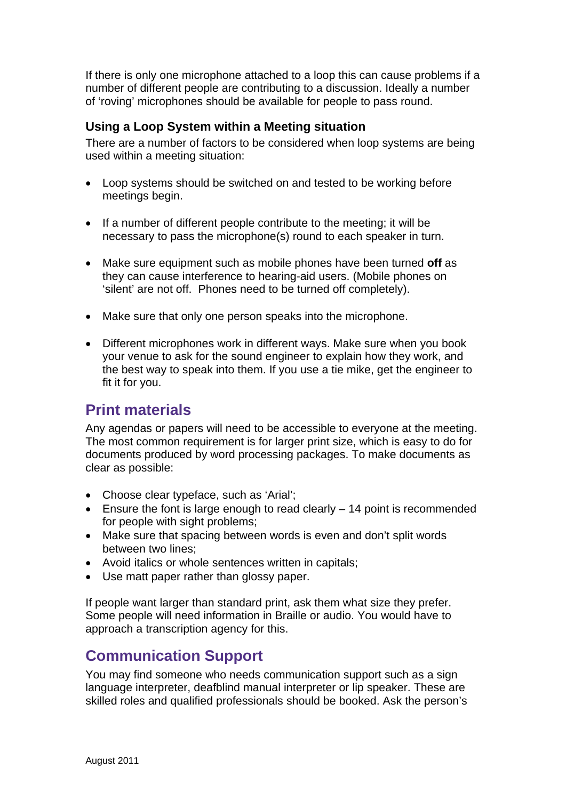If there is only one microphone attached to a loop this can cause problems if a number of different people are contributing to a discussion. Ideally a number of 'roving' microphones should be available for people to pass round.

#### **Using a Loop System within a Meeting situation**

There are a number of factors to be considered when loop systems are being used within a meeting situation:

- Loop systems should be switched on and tested to be working before meetings begin.
- If a number of different people contribute to the meeting; it will be necessary to pass the microphone(s) round to each speaker in turn.
- Make sure equipment such as mobile phones have been turned **off** as they can cause interference to hearing-aid users. (Mobile phones on 'silent' are not off. Phones need to be turned off completely).
- Make sure that only one person speaks into the microphone.
- Different microphones work in different ways. Make sure when you book your venue to ask for the sound engineer to explain how they work, and the best way to speak into them. If you use a tie mike, get the engineer to fit it for you.

## **Print materials**

Any agendas or papers will need to be accessible to everyone at the meeting. The most common requirement is for larger print size, which is easy to do for documents produced by word processing packages. To make documents as clear as possible:

- Choose clear typeface, such as 'Arial';
- Ensure the font is large enough to read clearly 14 point is recommended for people with sight problems;
- Make sure that spacing between words is even and don't split words between two lines;
- Avoid italics or whole sentences written in capitals;
- Use matt paper rather than glossy paper.

If people want larger than standard print, ask them what size they prefer. Some people will need information in Braille or audio. You would have to approach a transcription agency for this.

# **Communication Support**

You may find someone who needs communication support such as a sign language interpreter, deafblind manual interpreter or lip speaker. These are skilled roles and qualified professionals should be booked. Ask the person's